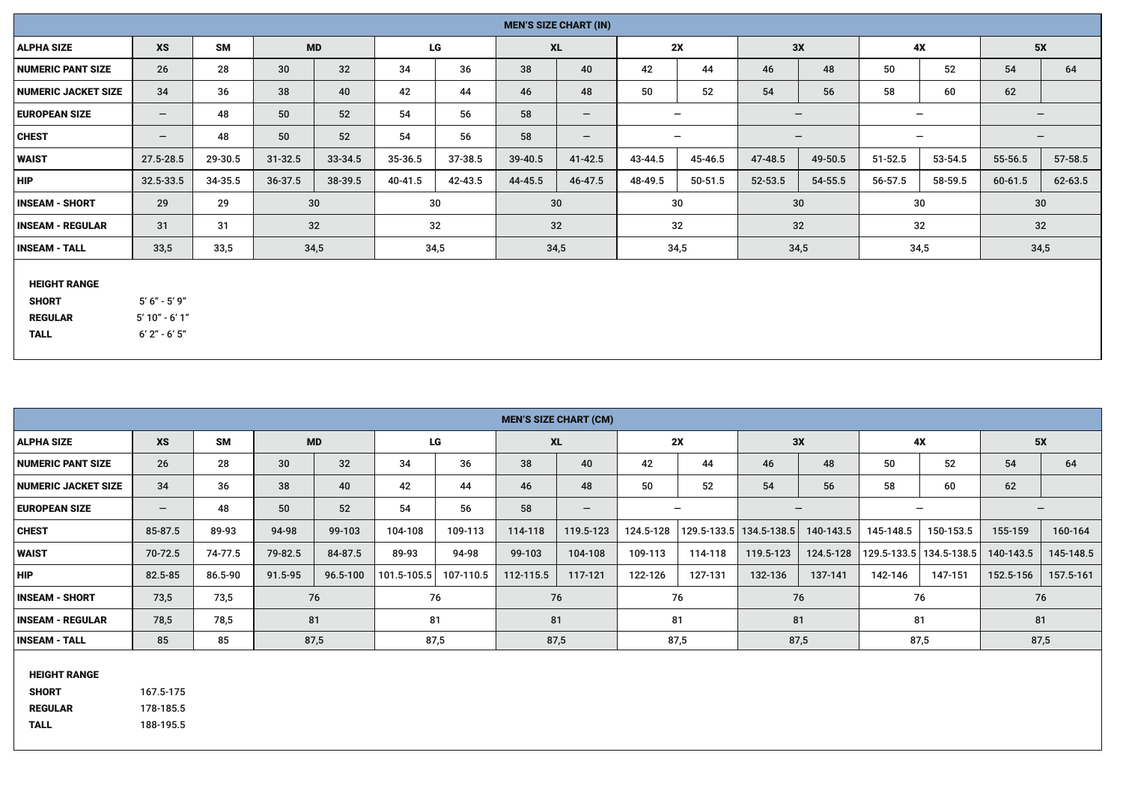| <b>MEN'S SIZE CHART (IN)</b>                          |                                       |           |             |           |         |         |         |                   |         |                          |             |         |                   |         |                 |         |
|-------------------------------------------------------|---------------------------------------|-----------|-------------|-----------|---------|---------|---------|-------------------|---------|--------------------------|-------------|---------|-------------------|---------|-----------------|---------|
| <b>ALPHA SIZE</b>                                     | <b>XS</b>                             | <b>SM</b> |             | <b>MD</b> |         | LG      |         | <b>XL</b>         |         | 2X                       |             | 3X      | 4X                |         | 5X              |         |
| <b>NUMERIC PANT SIZE</b>                              | 26                                    | 28        | 30          | 32        | 34      | 36      | 38      | 40                | 42      | 44                       | 46          | 48      | 50                | 52      | 54              | 64      |
| <b>NUMERIC JACKET SIZE</b>                            | 34                                    | 36        | 38          | 40        | 42      | 44      | 46      | 48                | 50      | 52                       | 54          | 56      | 58                | 60      | 62              |         |
| <b>EUROPEAN SIZE</b>                                  | $-$                                   | 48        | 50          | 52        | 54      | 56      | 58      | $\qquad \qquad -$ |         | $\overline{\phantom{0}}$ |             |         |                   |         | $\qquad \qquad$ |         |
| <b>CHEST</b>                                          | $\overline{\phantom{0}}$              | 48        | 50          | 52        | 54      | 56      | 58      |                   |         | $\overline{\phantom{0}}$ |             | $-$     | $\qquad \qquad -$ |         |                 |         |
| <b>WAIST</b>                                          | 27.5-28.5                             | 29-30.5   | $31 - 32.5$ | 33-34.5   | 35-36.5 | 37-38.5 | 39-40.5 | 41-42.5           | 43-44.5 | 45-46.5                  | 47-48.5     | 49-50.5 | $51 - 52.5$       | 53-54.5 | 55-56.5         | 57-58.5 |
| <b>HIP</b>                                            | 32.5-33.5                             | 34-35.5   | 36-37.5     | 38-39.5   | 40-41.5 | 42-43.5 | 44-45.5 | 46-47.5           | 48-49.5 | 50-51.5                  | $52 - 53.5$ | 54-55.5 | 56-57.5           | 58-59.5 | 60-61.5         | 62-63.5 |
| <b>INSEAM - SHORT</b>                                 | 29                                    | 29        |             | 30        |         | 30      |         | 30                |         | 30                       |             | 30      | 30                |         | 30              |         |
| <b>INSEAM - REGULAR</b>                               | 31                                    | 31        |             | 32        |         | 32      |         | 32                |         | 32                       |             | 32      | 32                |         | 32              |         |
| <b>INSEAM - TALL</b>                                  | 33,5                                  | 33,5      |             | 34,5      |         | 34,5    |         | 34,5              |         | 34,5                     |             | 34,5    | 34,5              |         | 34,5            |         |
| <b>HEIGHT RANGE</b><br><b>SHORT</b><br><b>REGULAR</b> | $5' 6'' - 5' 9''$<br>$5'$ 10" - 6' 1" |           |             |           |         |         |         |                   |         |                          |             |         |                   |         |                 |         |

 HEIGHT RANGE SHORT 167.5-175 REGULAR 178-185.5 TALL 188-195.5

TALL 6' 2" - 6' 5"

|                            | <b>MEN'S SIZE CHART (CM)</b> |           |           |          |                 |           |           |                   |           |         |                           |                          |           |                           |           |           |
|----------------------------|------------------------------|-----------|-----------|----------|-----------------|-----------|-----------|-------------------|-----------|---------|---------------------------|--------------------------|-----------|---------------------------|-----------|-----------|
|                            |                              |           |           |          |                 |           |           |                   |           |         |                           |                          |           |                           |           |           |
| <b>ALPHA SIZE</b>          | <b>XS</b>                    | <b>SM</b> | <b>MD</b> |          | LG              |           |           | <b>XL</b>         |           | 2X      | 3X                        |                          |           | 4X                        | 5X        |           |
| <b>NUMERIC PANT SIZE</b>   | 26                           | 28        | 30        | 32       | 34              | 36        | 38        | 40                | 42        | 44      | 46                        | 48                       | 50        | 52                        | 54        | 64        |
| <b>NUMERIC JACKET SIZE</b> | 34                           | 36        | 38        | 40       | 42              | 44        | 46        | 48                | 50        | 52      | 54                        | 56                       | 58        | 60                        | 62        |           |
| <b>EUROPEAN SIZE</b>       | $\qquad \qquad -$            | 48        | 50        | 52       | 54              | 56        | 58        | $\qquad \qquad -$ |           |         |                           | $\overline{\phantom{0}}$ |           |                           |           |           |
| <b>CHEST</b>               | 85-87.5                      | 89-93     | 94-98     | 99-103   | 104-108         | 109-113   | 114-118   | 119.5-123         | 124.5-128 |         | 129.5-133.5   134.5-138.5 | 140-143.5                | 145-148.5 | 150-153.5                 | 155-159   | 160-164   |
| <b>WAIST</b>               | 70-72.5                      | 74-77.5   | 79-82.5   | 84-87.5  | 89-93           | 94-98     | 99-103    | 104-108           | 109-113   | 114-118 | 119.5-123                 | 124.5-128                |           | 129.5-133.5   134.5-138.5 | 140-143.5 | 145-148.5 |
| <b>HIP</b>                 | 82.5-85                      | 86.5-90   | 91.5-95   | 96.5-100 | $101.5 - 105.5$ | 107-110.5 | 112-115.5 | 117-121           | 122-126   | 127-131 | 132-136                   | 137-141                  | 142-146   | 147-151                   | 152.5-156 | 157.5-161 |
| <b>INSEAM - SHORT</b>      | 73,5                         | 73,5      | 76        |          | 76              |           |           | 76                |           | 76      | 76                        |                          |           | 76                        | 76        |           |
| <b>INSEAM - REGULAR</b>    | 78,5                         | 78,5      | 81        |          | 81              |           |           | 81                |           | 81      | 81                        |                          |           | 81                        | 81        |           |
| <b>INSEAM - TALL</b>       | 85                           | 85        | 87,5      |          | 87,5            |           | 87,5      |                   |           | 87,5    | 87,5                      |                          | 87,5      |                           | 87,5      |           |
| <b>ILEIALIT BANAE</b>      |                              |           |           |          |                 |           |           |                   |           |         |                           |                          |           |                           |           |           |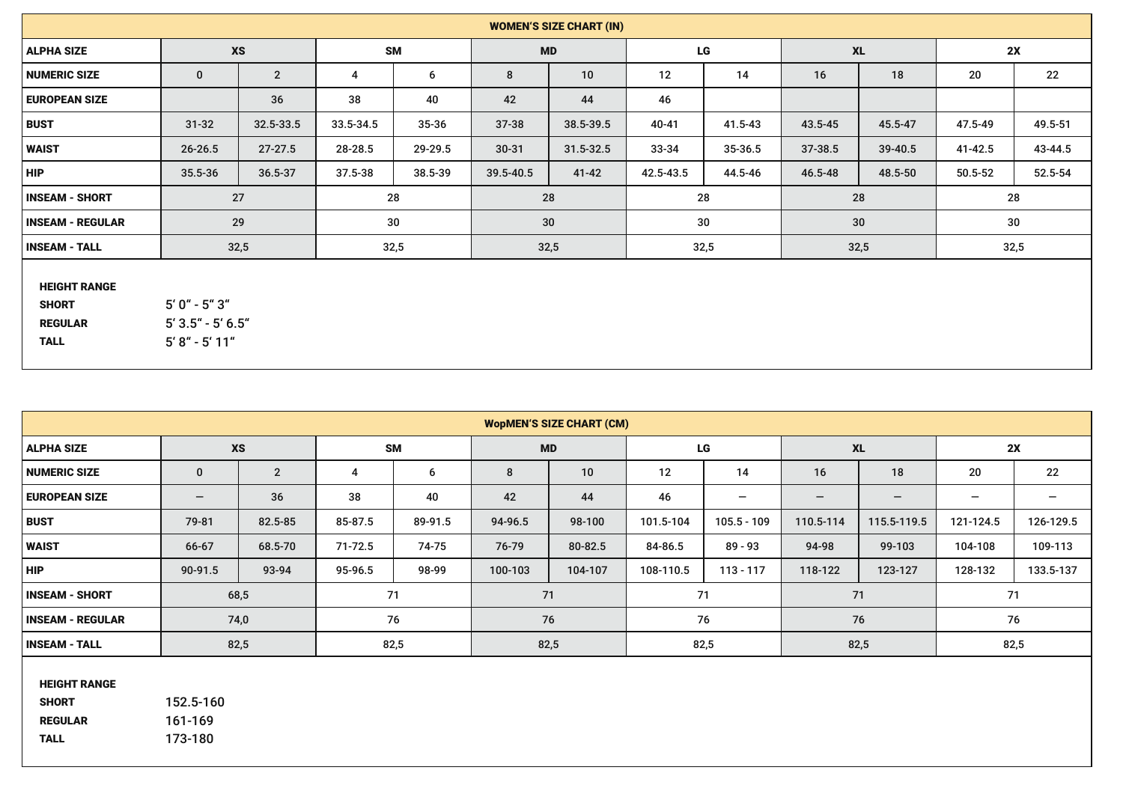| <b>WODMEN'S SIZE CHART (CM)</b>     |                          |                |             |         |           |         |           |               |                                      |                   |                          |           |
|-------------------------------------|--------------------------|----------------|-------------|---------|-----------|---------|-----------|---------------|--------------------------------------|-------------------|--------------------------|-----------|
| <b>ALPHA SIZE</b>                   |                          | <b>XS</b>      | <b>SM</b>   |         | <b>MD</b> |         | LG        |               | <b>XL</b>                            |                   | 2X                       |           |
| <b>NUMERIC SIZE</b>                 | $\mathbf{0}$             | $\overline{2}$ | 4           | 6       | 8         | 10      | 12        | 14            | 16                                   | 18                | 20                       | 22        |
| <b>EUROPEAN SIZE</b>                | $\overline{\phantom{0}}$ | 36             | 38          | 40      | 42        | 44      | 46        | -             | $\qquad \qquad \  \, -\qquad \qquad$ | $\qquad \qquad -$ | $\overline{\phantom{m}}$ | -         |
| <b>BUST</b>                         | 79-81                    | 82.5-85        | 85-87.5     | 89-91.5 | 94-96.5   | 98-100  | 101.5-104 | $105.5 - 109$ | 110.5-114                            | 115.5-119.5       | 121-124.5                | 126-129.5 |
| <b>WAIST</b>                        | 66-67                    | 68.5-70        | $71 - 72.5$ | 74-75   | 76-79     | 80-82.5 | 84-86.5   | $89 - 93$     | 94-98                                | 99-103            | 104-108                  | 109-113   |
| <b>HIP</b>                          | 90-91.5                  | 93-94          | 95-96.5     | 98-99   | 100-103   | 104-107 | 108-110.5 | $113 - 117$   | 118-122                              | 123-127           | 128-132                  | 133.5-137 |
| <b>INSEAM - SHORT</b>               |                          | 68,5           |             | 71      |           | 71      |           | 71            | 71                                   |                   |                          | 71        |
| <b>INSEAM - REGULAR</b>             |                          | 74,0           |             | 76      |           | 76      |           | 76            |                                      | 76                |                          | 76        |
| <b>INSEAM - TALL</b>                |                          | 82,5           |             | 82,5    |           | 82,5    |           | 82,5          |                                      | 82,5              |                          | 82,5      |
| <b>HEIGHT RANGE</b><br><b>SHORT</b> | 152.5-160                |                |             |         |           |         |           |               |                                      |                   |                          |           |

 REGULAR 161-169 TALL 173-180

| <b>WOMEN'S SIZE CHART (IN)</b>                                       |                                                               |                |           |                 |           |               |           |         |           |         |             |         |
|----------------------------------------------------------------------|---------------------------------------------------------------|----------------|-----------|-----------------|-----------|---------------|-----------|---------|-----------|---------|-------------|---------|
| <b>ALPHA SIZE</b>                                                    |                                                               | <b>XS</b>      |           | <b>SM</b>       |           | <b>MD</b>     |           | LG      | <b>XL</b> |         | 2X          |         |
| <b>NUMERIC SIZE</b>                                                  | $\mathbf{0}$                                                  | $\overline{2}$ | 4         | $6\overline{6}$ | 8         | 10            | 12        | 14      | 16        | 18      | 20          | 22      |
| <b>EUROPEAN SIZE</b>                                                 |                                                               | 36             | 38        | 40              | 42        | 44            | 46        |         |           |         |             |         |
| <b>BUST</b>                                                          | $31 - 32$                                                     | 32.5-33.5      | 33.5-34.5 | $35 - 36$       | $37 - 38$ | 38.5-39.5     | 40-41     | 41.5-43 | 43.5-45   | 45.5-47 | 47.5-49     | 49.5-51 |
| <b>WAIST</b>                                                         | $26 - 26.5$                                                   | $27 - 27.5$    | 28-28.5   | 29-29.5         | $30 - 31$ | $31.5 - 32.5$ | $33 - 34$ | 35-36.5 | 37-38.5   | 39-40.5 | 41-42.5     | 43-44.5 |
| <b>HIP</b>                                                           | 35.5-36                                                       | 36.5-37        | 37.5-38   | 38.5-39         | 39.5-40.5 | 41-42         | 42.5-43.5 | 44.5-46 | 46.5-48   | 48.5-50 | $50.5 - 52$ | 52.5-54 |
| <b>INSEAM - SHORT</b>                                                |                                                               | 27             |           | 28              |           | 28            | 28        |         | 28        |         | 28          |         |
| <b>INSEAM - REGULAR</b>                                              |                                                               | 29             |           | 30              |           | 30            |           | 30      |           | 30      | 30          |         |
| <b>INSEAM - TALL</b>                                                 |                                                               | 32,5           |           | 32,5            |           | 32,5          | 32,5      |         |           | 32,5    |             | 32,5    |
| <b>HEIGHT RANGE</b><br><b>SHORT</b><br><b>REGULAR</b><br><b>TALL</b> | $5'0'' - 5''3''$<br>$5'3.5'' - 5'6.5''$<br>$5' 8'' - 5' 11''$ |                |           |                 |           |               |           |         |           |         |             |         |